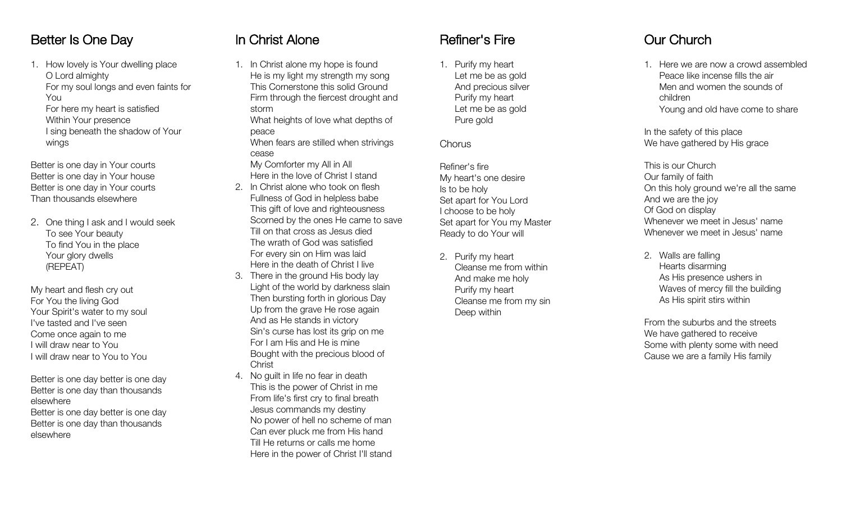#### Better Is One Day

1. How lovely is Your dwelling place O Lord almighty For my soul longs and even faints for You For here my heart is satisfied Within Your presence I sing beneath the shadow of Your wings

Better is one day in Your courts Better is one day in Your house Better is one day in Your courts Than thousands elsewhere

2. One thing I ask and I would seek To see Your beauty To find You in the place Your glory dwell s (REPEAT)

My heart and flesh cry out For You the living God Your Spirit's water to my soul I've tasted and I've seen Come once again to me I will draw near to You I will draw near to You to You

Better is one day better is one day Better is one day than thousands elsewhere

Better is one day better is one day Better is one day than thousands elsewhere

## In Christ Alone

1. In Christ alone my hope is foun d He is my light my strength my son g This Cornerstone this solid Groun d Firm through the fiercest drought and stor m What heights of love what depths of

peac e When fears are stilled when strivings ceas e

My Comforter my All in Al l Here in the love of Christ I stand

- 2. In Christ alone who took on fles h Fullness of God in helpless bab e This gift of love and righteousnes s Scorned by the ones He came to sav e Till on that cross as Jesus die d The wrath of God was satisfie d For every sin on Him was lai d Here in the death of Christ I live
- 3. There in the ground His body la y Light of the world by darkness slai n Then bursting forth in glorious Da y Up from the grave He rose agai n And as He stands in victor y Sin's curse has lost its grip on m e For I am His and He is min e Bought with the precious blood of **Christ**
- 4. No guilt in life no fear in deat h This is the power of Christ in m e From life's first cry to final breat h Jesus commands my destin y No power of hell no scheme of ma n Can ever pluck me from His han d Till He returns or calls me hom e Here in the power of Christ I'll stand

## Refiner's Fire

1. Purify my hear t Let me be as gol d And precious silve r Purify my hear t Let me be as gol d Pure gold

**Chorus** 

Refiner's fir e My heart's one desir e Is to be hol y Set apart for You Lor d I choose to be hol y Set apart for You my Master Ready to do Your will

2. Purify my heart Cleanse me from withi n And make me hol y Purify my hear t Cleanse me from my si n Deep within

# Our Church

1. Here we are now a crowd assemble d Peace like incense fills the ai r Men and women the sounds of childre n Young and old have come to share

In the safety of this plac e We have gathered by His grace

- This is our Churc h Our family of fait h On this holy ground we're all the sam e And we are the jo y Of God on displa y Whenever we meet in Jesus' nam e Whenever we meet in Jesus' name
- 2. Walls are fallin g Hearts disarmin g As His presence ushers i n Waves of mercy fill the buildin g As His spirit stirs within

From the suburbs and the street s We have gathered to receiv e Some with plenty some with nee d Cause we are a family His family